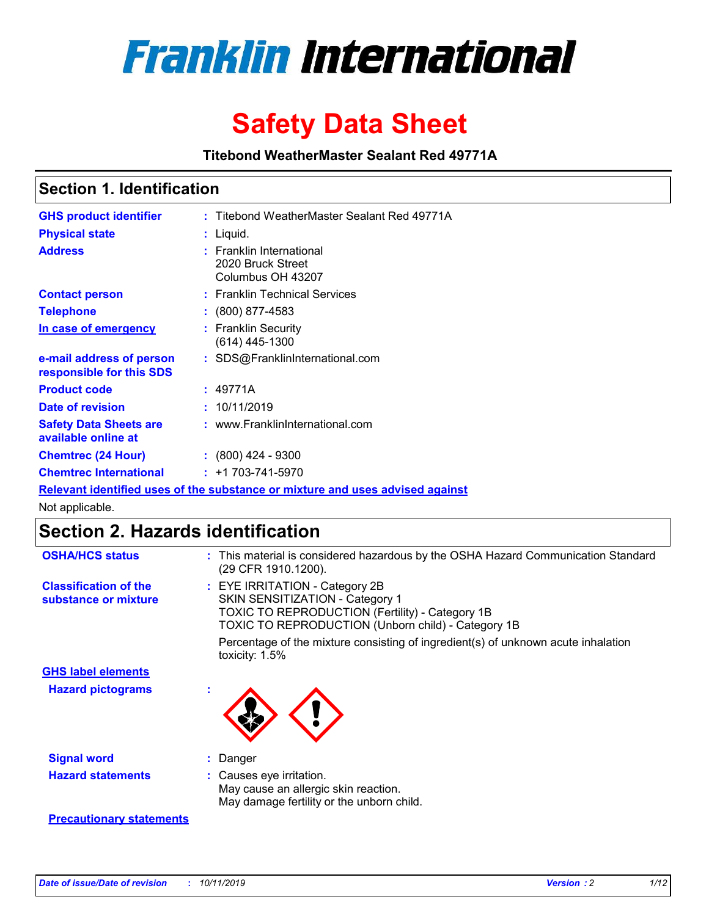

# **Safety Data Sheet**

**Titebond WeatherMaster Sealant Red 49771A**

### **Section 1. Identification**

| <b>GHS product identifier</b>                                                 |  | : Titebond WeatherMaster Sealant Red 49771A                        |  |  |  |
|-------------------------------------------------------------------------------|--|--------------------------------------------------------------------|--|--|--|
| <b>Physical state</b>                                                         |  | : Liquid.                                                          |  |  |  |
| <b>Address</b>                                                                |  | : Franklin International<br>2020 Bruck Street<br>Columbus OH 43207 |  |  |  |
| <b>Contact person</b>                                                         |  | : Franklin Technical Services                                      |  |  |  |
| <b>Telephone</b>                                                              |  | $\div$ (800) 877-4583                                              |  |  |  |
| In case of emergency                                                          |  | : Franklin Security<br>(614) 445-1300                              |  |  |  |
| e-mail address of person<br>responsible for this SDS                          |  | : SDS@FranklinInternational.com                                    |  |  |  |
| <b>Product code</b>                                                           |  | : 49771A                                                           |  |  |  |
| Date of revision                                                              |  | : 10/11/2019                                                       |  |  |  |
| <b>Safety Data Sheets are</b><br>available online at                          |  | : www.FranklinInternational.com                                    |  |  |  |
| <b>Chemtrec (24 Hour)</b>                                                     |  | $\div$ (800) 424 - 9300                                            |  |  |  |
| <b>Chemtrec International</b>                                                 |  | $: +1703 - 741 - 5970$                                             |  |  |  |
| Relevant identified uses of the substance or mixture and uses advised against |  |                                                                    |  |  |  |

Not applicable.

## **Section 2. Hazards identification**

| <b>OSHA/HCS status</b>                               | : This material is considered hazardous by the OSHA Hazard Communication Standard<br>(29 CFR 1910.1200).                                                                                 |
|------------------------------------------------------|------------------------------------------------------------------------------------------------------------------------------------------------------------------------------------------|
| <b>Classification of the</b><br>substance or mixture | : EYE IRRITATION - Category 2B<br>SKIN SENSITIZATION - Category 1<br><b>TOXIC TO REPRODUCTION (Fertility) - Category 1B</b><br><b>TOXIC TO REPRODUCTION (Unborn child) - Category 1B</b> |
|                                                      | Percentage of the mixture consisting of ingredient(s) of unknown acute inhalation<br>toxicity: $1.5\%$                                                                                   |
| <b>GHS label elements</b>                            |                                                                                                                                                                                          |
| <b>Hazard pictograms</b>                             |                                                                                                                                                                                          |
| <b>Signal word</b>                                   | : Danger                                                                                                                                                                                 |
| <b>Hazard statements</b>                             | : Causes eye irritation.<br>May cause an allergic skin reaction.<br>May damage fertility or the unborn child.                                                                            |
| <b>Precautionary statements</b>                      |                                                                                                                                                                                          |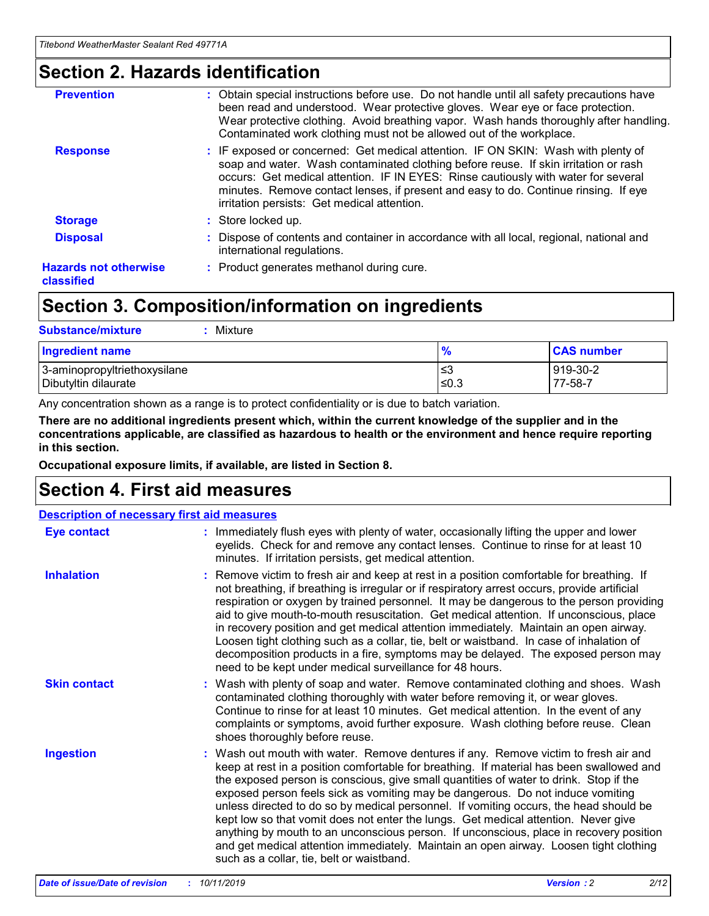### **Section 2. Hazards identification**

| <b>Prevention</b>                          | : Obtain special instructions before use. Do not handle until all safety precautions have<br>been read and understood. Wear protective gloves. Wear eye or face protection.<br>Wear protective clothing. Avoid breathing vapor. Wash hands thoroughly after handling.<br>Contaminated work clothing must not be allowed out of the workplace.                                                        |
|--------------------------------------------|------------------------------------------------------------------------------------------------------------------------------------------------------------------------------------------------------------------------------------------------------------------------------------------------------------------------------------------------------------------------------------------------------|
| <b>Response</b>                            | : IF exposed or concerned: Get medical attention. IF ON SKIN: Wash with plenty of<br>soap and water. Wash contaminated clothing before reuse. If skin irritation or rash<br>occurs: Get medical attention. IF IN EYES: Rinse cautiously with water for several<br>minutes. Remove contact lenses, if present and easy to do. Continue rinsing. If eye<br>irritation persists: Get medical attention. |
| <b>Storage</b>                             | : Store locked up.                                                                                                                                                                                                                                                                                                                                                                                   |
| <b>Disposal</b>                            | : Dispose of contents and container in accordance with all local, regional, national and<br>international regulations.                                                                                                                                                                                                                                                                               |
| <b>Hazards not otherwise</b><br>classified | : Product generates methanol during cure.                                                                                                                                                                                                                                                                                                                                                            |
|                                            |                                                                                                                                                                                                                                                                                                                                                                                                      |

### **Section 3. Composition/information on ingredients**

| <b>Substance/mixture</b><br>: Mixture                |                   |                     |
|------------------------------------------------------|-------------------|---------------------|
| Ingredient name                                      | $\frac{9}{6}$     | <b>CAS number</b>   |
| 3-aminopropyltriethoxysilane<br>Dibutyltin dilaurate | ∣≤3<br>$\leq 0.3$ | 919-30-2<br>77-58-7 |

Any concentration shown as a range is to protect confidentiality or is due to batch variation.

**There are no additional ingredients present which, within the current knowledge of the supplier and in the concentrations applicable, are classified as hazardous to health or the environment and hence require reporting in this section.**

**Occupational exposure limits, if available, are listed in Section 8.**

### **Section 4. First aid measures**

| <b>Description of necessary first aid measures</b> |                                                                                                                                                                                                                                                                                                                                                                                                                                                                                                                                                                                                                                                                                                                                                                           |  |  |  |
|----------------------------------------------------|---------------------------------------------------------------------------------------------------------------------------------------------------------------------------------------------------------------------------------------------------------------------------------------------------------------------------------------------------------------------------------------------------------------------------------------------------------------------------------------------------------------------------------------------------------------------------------------------------------------------------------------------------------------------------------------------------------------------------------------------------------------------------|--|--|--|
| <b>Eye contact</b>                                 | : Immediately flush eyes with plenty of water, occasionally lifting the upper and lower<br>eyelids. Check for and remove any contact lenses. Continue to rinse for at least 10<br>minutes. If irritation persists, get medical attention.                                                                                                                                                                                                                                                                                                                                                                                                                                                                                                                                 |  |  |  |
| <b>Inhalation</b>                                  | : Remove victim to fresh air and keep at rest in a position comfortable for breathing. If<br>not breathing, if breathing is irregular or if respiratory arrest occurs, provide artificial<br>respiration or oxygen by trained personnel. It may be dangerous to the person providing<br>aid to give mouth-to-mouth resuscitation. Get medical attention. If unconscious, place<br>in recovery position and get medical attention immediately. Maintain an open airway.<br>Loosen tight clothing such as a collar, tie, belt or waistband. In case of inhalation of<br>decomposition products in a fire, symptoms may be delayed. The exposed person may<br>need to be kept under medical surveillance for 48 hours.                                                       |  |  |  |
| <b>Skin contact</b>                                | : Wash with plenty of soap and water. Remove contaminated clothing and shoes. Wash<br>contaminated clothing thoroughly with water before removing it, or wear gloves.<br>Continue to rinse for at least 10 minutes. Get medical attention. In the event of any<br>complaints or symptoms, avoid further exposure. Wash clothing before reuse. Clean<br>shoes thoroughly before reuse.                                                                                                                                                                                                                                                                                                                                                                                     |  |  |  |
| <b>Ingestion</b>                                   | : Wash out mouth with water. Remove dentures if any. Remove victim to fresh air and<br>keep at rest in a position comfortable for breathing. If material has been swallowed and<br>the exposed person is conscious, give small quantities of water to drink. Stop if the<br>exposed person feels sick as vomiting may be dangerous. Do not induce vomiting<br>unless directed to do so by medical personnel. If vomiting occurs, the head should be<br>kept low so that vomit does not enter the lungs. Get medical attention. Never give<br>anything by mouth to an unconscious person. If unconscious, place in recovery position<br>and get medical attention immediately. Maintain an open airway. Loosen tight clothing<br>such as a collar, tie, belt or waistband. |  |  |  |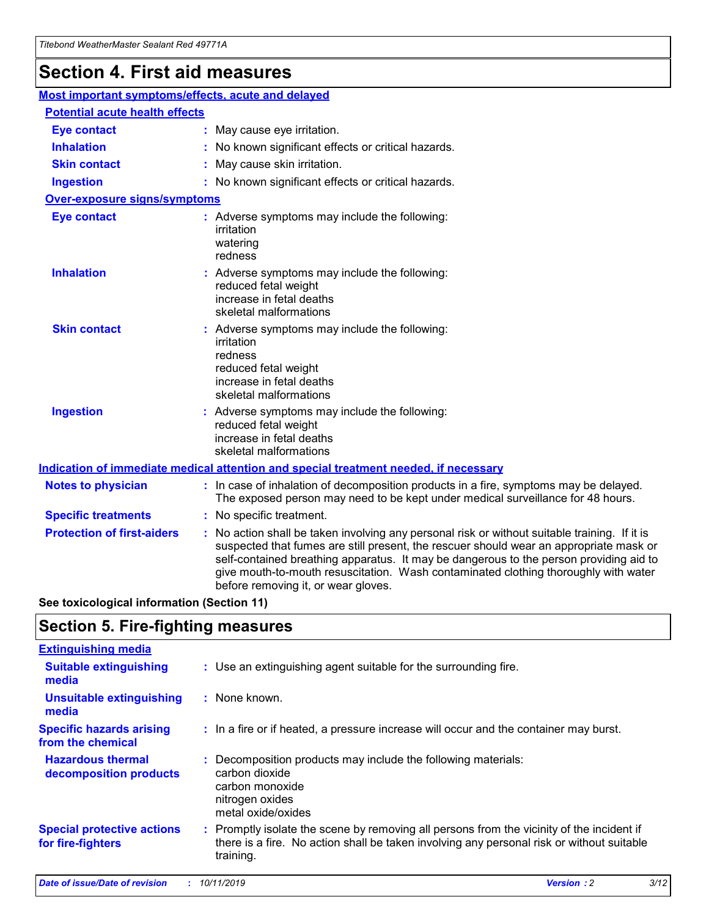## **Section 4. First aid measures**

| Most important symptoms/effects, acute and delayed |                                       |                                                                                                                                                                                                                                                                                                                                                                                                                 |  |  |  |
|----------------------------------------------------|---------------------------------------|-----------------------------------------------------------------------------------------------------------------------------------------------------------------------------------------------------------------------------------------------------------------------------------------------------------------------------------------------------------------------------------------------------------------|--|--|--|
|                                                    | <b>Potential acute health effects</b> |                                                                                                                                                                                                                                                                                                                                                                                                                 |  |  |  |
| <b>Eye contact</b>                                 |                                       | : May cause eye irritation.                                                                                                                                                                                                                                                                                                                                                                                     |  |  |  |
| <b>Inhalation</b>                                  |                                       | : No known significant effects or critical hazards.                                                                                                                                                                                                                                                                                                                                                             |  |  |  |
| <b>Skin contact</b>                                |                                       | : May cause skin irritation.                                                                                                                                                                                                                                                                                                                                                                                    |  |  |  |
| <b>Ingestion</b>                                   |                                       | : No known significant effects or critical hazards.                                                                                                                                                                                                                                                                                                                                                             |  |  |  |
| <b>Over-exposure signs/symptoms</b>                |                                       |                                                                                                                                                                                                                                                                                                                                                                                                                 |  |  |  |
| <b>Eye contact</b>                                 |                                       | : Adverse symptoms may include the following:<br>irritation<br>watering<br>redness                                                                                                                                                                                                                                                                                                                              |  |  |  |
| <b>Inhalation</b>                                  |                                       | : Adverse symptoms may include the following:<br>reduced fetal weight<br>increase in fetal deaths<br>skeletal malformations                                                                                                                                                                                                                                                                                     |  |  |  |
| <b>Skin contact</b>                                |                                       | : Adverse symptoms may include the following:<br>irritation<br>redness<br>reduced fetal weight<br>increase in fetal deaths<br>skeletal malformations                                                                                                                                                                                                                                                            |  |  |  |
| <b>Ingestion</b>                                   |                                       | : Adverse symptoms may include the following:<br>reduced fetal weight<br>increase in fetal deaths<br>skeletal malformations                                                                                                                                                                                                                                                                                     |  |  |  |
|                                                    |                                       | <b>Indication of immediate medical attention and special treatment needed, if necessary</b>                                                                                                                                                                                                                                                                                                                     |  |  |  |
| <b>Notes to physician</b>                          |                                       | : In case of inhalation of decomposition products in a fire, symptoms may be delayed.<br>The exposed person may need to be kept under medical surveillance for 48 hours.                                                                                                                                                                                                                                        |  |  |  |
| <b>Specific treatments</b>                         |                                       | : No specific treatment.                                                                                                                                                                                                                                                                                                                                                                                        |  |  |  |
| <b>Protection of first-aiders</b>                  |                                       | : No action shall be taken involving any personal risk or without suitable training. If it is<br>suspected that fumes are still present, the rescuer should wear an appropriate mask or<br>self-contained breathing apparatus. It may be dangerous to the person providing aid to<br>give mouth-to-mouth resuscitation. Wash contaminated clothing thoroughly with water<br>before removing it, or wear gloves. |  |  |  |

**See toxicological information (Section 11)**

### **Section 5. Fire-fighting measures**

| <b>Extinguishing media</b>                             |                                                                                                                                                                                                     |
|--------------------------------------------------------|-----------------------------------------------------------------------------------------------------------------------------------------------------------------------------------------------------|
| <b>Suitable extinguishing</b><br>media                 | : Use an extinguishing agent suitable for the surrounding fire.                                                                                                                                     |
| <b>Unsuitable extinguishing</b><br>media               | $:$ None known.                                                                                                                                                                                     |
| <b>Specific hazards arising</b><br>from the chemical   | : In a fire or if heated, a pressure increase will occur and the container may burst.                                                                                                               |
| <b>Hazardous thermal</b><br>decomposition products     | : Decomposition products may include the following materials:<br>carbon dioxide<br>carbon monoxide<br>nitrogen oxides<br>metal oxide/oxides                                                         |
| <b>Special protective actions</b><br>for fire-fighters | : Promptly isolate the scene by removing all persons from the vicinity of the incident if<br>there is a fire. No action shall be taken involving any personal risk or without suitable<br>training. |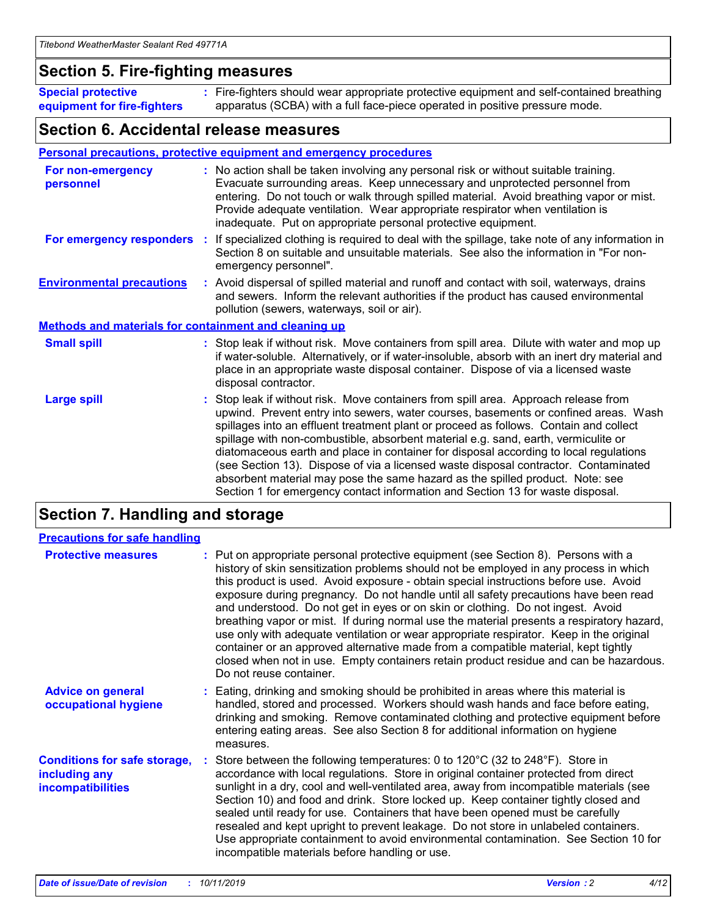### **Section 5. Fire-fighting measures**

**Special protective equipment for fire-fighters** Fire-fighters should wear appropriate protective equipment and self-contained breathing **:** apparatus (SCBA) with a full face-piece operated in positive pressure mode.

### **Section 6. Accidental release measures**

#### **Personal precautions, protective equipment and emergency procedures**

| For non-emergency<br>personnel                               | : No action shall be taken involving any personal risk or without suitable training.<br>Evacuate surrounding areas. Keep unnecessary and unprotected personnel from<br>entering. Do not touch or walk through spilled material. Avoid breathing vapor or mist.<br>Provide adequate ventilation. Wear appropriate respirator when ventilation is<br>inadequate. Put on appropriate personal protective equipment.                                                                                                                                                                                                                                                                                             |
|--------------------------------------------------------------|--------------------------------------------------------------------------------------------------------------------------------------------------------------------------------------------------------------------------------------------------------------------------------------------------------------------------------------------------------------------------------------------------------------------------------------------------------------------------------------------------------------------------------------------------------------------------------------------------------------------------------------------------------------------------------------------------------------|
|                                                              | For emergency responders : If specialized clothing is required to deal with the spillage, take note of any information in<br>Section 8 on suitable and unsuitable materials. See also the information in "For non-<br>emergency personnel".                                                                                                                                                                                                                                                                                                                                                                                                                                                                  |
| <b>Environmental precautions</b>                             | : Avoid dispersal of spilled material and runoff and contact with soil, waterways, drains<br>and sewers. Inform the relevant authorities if the product has caused environmental<br>pollution (sewers, waterways, soil or air).                                                                                                                                                                                                                                                                                                                                                                                                                                                                              |
| <b>Methods and materials for containment and cleaning up</b> |                                                                                                                                                                                                                                                                                                                                                                                                                                                                                                                                                                                                                                                                                                              |
| <b>Small spill</b>                                           | : Stop leak if without risk. Move containers from spill area. Dilute with water and mop up<br>if water-soluble. Alternatively, or if water-insoluble, absorb with an inert dry material and<br>place in an appropriate waste disposal container. Dispose of via a licensed waste<br>disposal contractor.                                                                                                                                                                                                                                                                                                                                                                                                     |
| <b>Large spill</b>                                           | : Stop leak if without risk. Move containers from spill area. Approach release from<br>upwind. Prevent entry into sewers, water courses, basements or confined areas. Wash<br>spillages into an effluent treatment plant or proceed as follows. Contain and collect<br>spillage with non-combustible, absorbent material e.g. sand, earth, vermiculite or<br>diatomaceous earth and place in container for disposal according to local regulations<br>(see Section 13). Dispose of via a licensed waste disposal contractor. Contaminated<br>absorbent material may pose the same hazard as the spilled product. Note: see<br>Section 1 for emergency contact information and Section 13 for waste disposal. |

### **Section 7. Handling and storage**

| <b>Precautions for safe handling</b>                                             |                                                                                                                                                                                                                                                                                                                                                                                                                                                                                                                                                                                                                                                                                                                                                                                                                                                  |
|----------------------------------------------------------------------------------|--------------------------------------------------------------------------------------------------------------------------------------------------------------------------------------------------------------------------------------------------------------------------------------------------------------------------------------------------------------------------------------------------------------------------------------------------------------------------------------------------------------------------------------------------------------------------------------------------------------------------------------------------------------------------------------------------------------------------------------------------------------------------------------------------------------------------------------------------|
| <b>Protective measures</b>                                                       | : Put on appropriate personal protective equipment (see Section 8). Persons with a<br>history of skin sensitization problems should not be employed in any process in which<br>this product is used. Avoid exposure - obtain special instructions before use. Avoid<br>exposure during pregnancy. Do not handle until all safety precautions have been read<br>and understood. Do not get in eyes or on skin or clothing. Do not ingest. Avoid<br>breathing vapor or mist. If during normal use the material presents a respiratory hazard,<br>use only with adequate ventilation or wear appropriate respirator. Keep in the original<br>container or an approved alternative made from a compatible material, kept tightly<br>closed when not in use. Empty containers retain product residue and can be hazardous.<br>Do not reuse container. |
| <b>Advice on general</b><br>occupational hygiene                                 | : Eating, drinking and smoking should be prohibited in areas where this material is<br>handled, stored and processed. Workers should wash hands and face before eating,<br>drinking and smoking. Remove contaminated clothing and protective equipment before<br>entering eating areas. See also Section 8 for additional information on hygiene<br>measures.                                                                                                                                                                                                                                                                                                                                                                                                                                                                                    |
| <b>Conditions for safe storage,</b><br>including any<br><b>incompatibilities</b> | : Store between the following temperatures: 0 to 120 $\degree$ C (32 to 248 $\degree$ F). Store in<br>accordance with local regulations. Store in original container protected from direct<br>sunlight in a dry, cool and well-ventilated area, away from incompatible materials (see<br>Section 10) and food and drink. Store locked up. Keep container tightly closed and<br>sealed until ready for use. Containers that have been opened must be carefully<br>resealed and kept upright to prevent leakage. Do not store in unlabeled containers.<br>Use appropriate containment to avoid environmental contamination. See Section 10 for<br>incompatible materials before handling or use.                                                                                                                                                   |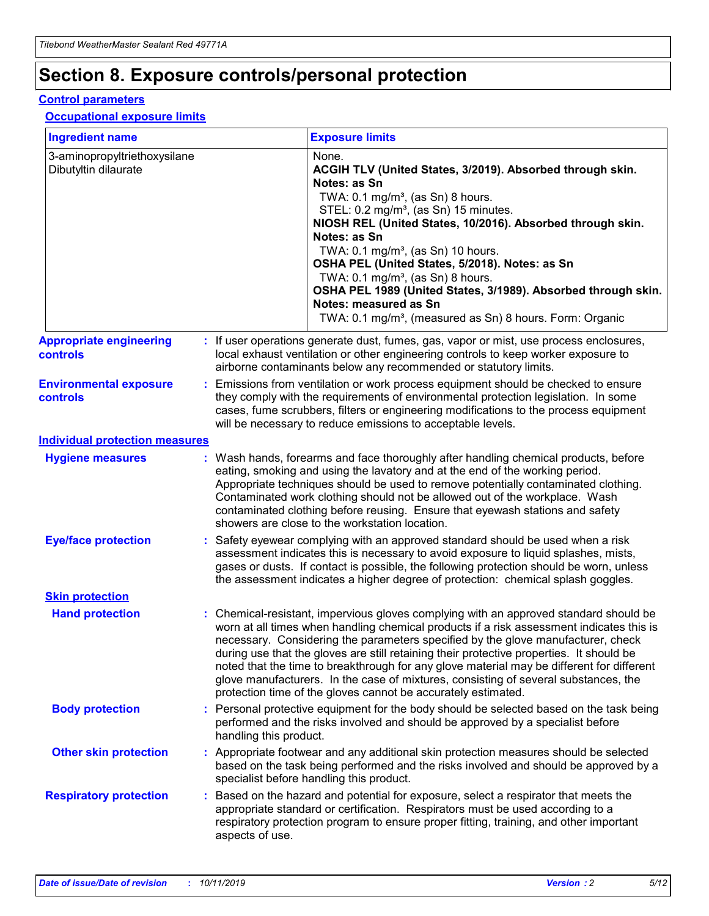## **Section 8. Exposure controls/personal protection**

#### **Control parameters**

#### **Occupational exposure limits**

| <b>Ingredient name</b>                               |    |                                          | <b>Exposure limits</b>                                                                                                                                                                                                                                                                                                                                                                                                                                                                                                                                                                                                 |
|------------------------------------------------------|----|------------------------------------------|------------------------------------------------------------------------------------------------------------------------------------------------------------------------------------------------------------------------------------------------------------------------------------------------------------------------------------------------------------------------------------------------------------------------------------------------------------------------------------------------------------------------------------------------------------------------------------------------------------------------|
| 3-aminopropyltriethoxysilane<br>Dibutyltin dilaurate |    |                                          | None.<br>ACGIH TLV (United States, 3/2019). Absorbed through skin.<br>Notes: as Sn<br>TWA: 0.1 mg/m <sup>3</sup> , (as Sn) 8 hours.<br>STEL: 0.2 mg/m <sup>3</sup> , (as Sn) 15 minutes.<br>NIOSH REL (United States, 10/2016). Absorbed through skin.<br>Notes: as Sn<br>TWA: 0.1 mg/m <sup>3</sup> , (as Sn) 10 hours.<br>OSHA PEL (United States, 5/2018). Notes: as Sn<br>TWA: $0.1 \text{ mg/m}^3$ , (as Sn) 8 hours.<br>OSHA PEL 1989 (United States, 3/1989). Absorbed through skin.<br>Notes: measured as Sn<br>TWA: 0.1 mg/m <sup>3</sup> , (measured as Sn) 8 hours. Form: Organic                           |
| <b>Appropriate engineering</b><br>controls           |    |                                          | : If user operations generate dust, fumes, gas, vapor or mist, use process enclosures,<br>local exhaust ventilation or other engineering controls to keep worker exposure to<br>airborne contaminants below any recommended or statutory limits.                                                                                                                                                                                                                                                                                                                                                                       |
| <b>Environmental exposure</b><br><b>controls</b>     |    |                                          | Emissions from ventilation or work process equipment should be checked to ensure<br>they comply with the requirements of environmental protection legislation. In some<br>cases, fume scrubbers, filters or engineering modifications to the process equipment<br>will be necessary to reduce emissions to acceptable levels.                                                                                                                                                                                                                                                                                          |
| <b>Individual protection measures</b>                |    |                                          |                                                                                                                                                                                                                                                                                                                                                                                                                                                                                                                                                                                                                        |
| <b>Hygiene measures</b>                              |    |                                          | : Wash hands, forearms and face thoroughly after handling chemical products, before<br>eating, smoking and using the lavatory and at the end of the working period.<br>Appropriate techniques should be used to remove potentially contaminated clothing.<br>Contaminated work clothing should not be allowed out of the workplace. Wash<br>contaminated clothing before reusing. Ensure that eyewash stations and safety<br>showers are close to the workstation location.                                                                                                                                            |
| <b>Eye/face protection</b>                           |    |                                          | : Safety eyewear complying with an approved standard should be used when a risk<br>assessment indicates this is necessary to avoid exposure to liquid splashes, mists,<br>gases or dusts. If contact is possible, the following protection should be worn, unless<br>the assessment indicates a higher degree of protection: chemical splash goggles.                                                                                                                                                                                                                                                                  |
| <b>Skin protection</b>                               |    |                                          |                                                                                                                                                                                                                                                                                                                                                                                                                                                                                                                                                                                                                        |
| <b>Hand protection</b>                               |    |                                          | : Chemical-resistant, impervious gloves complying with an approved standard should be<br>worn at all times when handling chemical products if a risk assessment indicates this is<br>necessary. Considering the parameters specified by the glove manufacturer, check<br>during use that the gloves are still retaining their protective properties. It should be<br>noted that the time to breakthrough for any glove material may be different for different<br>glove manufacturers. In the case of mixtures, consisting of several substances, the<br>protection time of the gloves cannot be accurately estimated. |
| <b>Body protection</b>                               |    | handling this product.                   | Personal protective equipment for the body should be selected based on the task being<br>performed and the risks involved and should be approved by a specialist before                                                                                                                                                                                                                                                                                                                                                                                                                                                |
| <b>Other skin protection</b>                         |    | specialist before handling this product. | : Appropriate footwear and any additional skin protection measures should be selected<br>based on the task being performed and the risks involved and should be approved by a                                                                                                                                                                                                                                                                                                                                                                                                                                          |
| <b>Respiratory protection</b>                        | ÷. | aspects of use.                          | Based on the hazard and potential for exposure, select a respirator that meets the<br>appropriate standard or certification. Respirators must be used according to a<br>respiratory protection program to ensure proper fitting, training, and other important                                                                                                                                                                                                                                                                                                                                                         |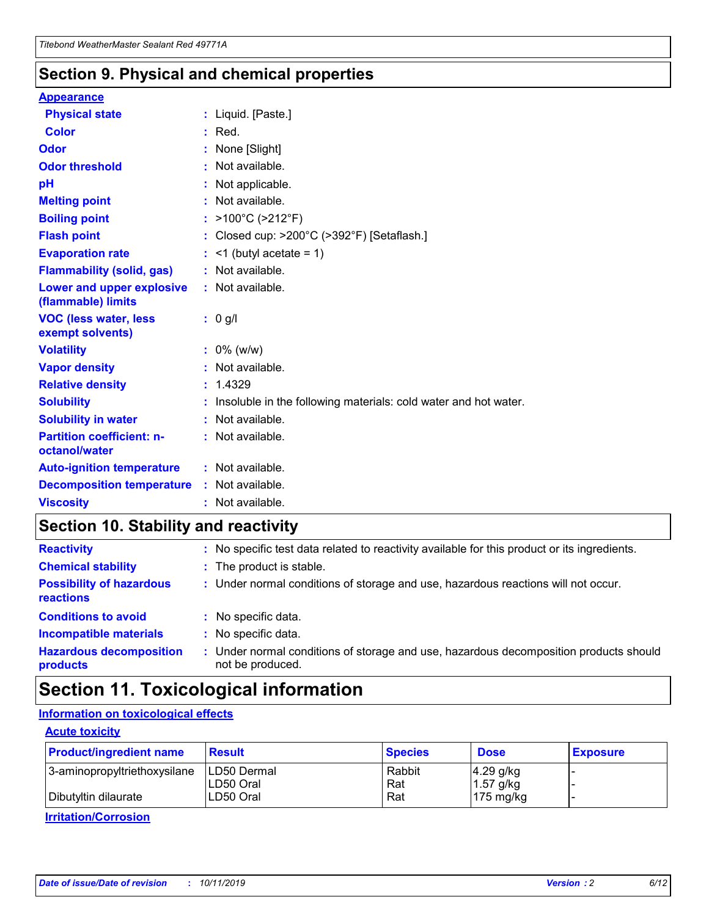### **Section 9. Physical and chemical properties**

#### **Appearance**

| <b>Physical state</b>                             | : Liquid. [Paste.]                                                |
|---------------------------------------------------|-------------------------------------------------------------------|
| Color                                             | $:$ Red.                                                          |
| Odor                                              | : None [Slight]                                                   |
| <b>Odor threshold</b>                             | : Not available.                                                  |
| pH                                                | : Not applicable.                                                 |
| <b>Melting point</b>                              | : Not available.                                                  |
| <b>Boiling point</b>                              | : $>100^{\circ}$ C ( $>212^{\circ}$ F)                            |
| <b>Flash point</b>                                | : Closed cup: $>200^{\circ}$ C ( $>392^{\circ}$ F) [Setaflash.]   |
| <b>Evaporation rate</b>                           | $:$ <1 (butyl acetate = 1)                                        |
| <b>Flammability (solid, gas)</b>                  | : Not available.                                                  |
| Lower and upper explosive<br>(flammable) limits   | : Not available.                                                  |
| <b>VOC (less water, less</b><br>exempt solvents)  | $: 0$ g/l                                                         |
| <b>Volatility</b>                                 | $: 0\%$ (w/w)                                                     |
| <b>Vapor density</b>                              | : Not available.                                                  |
| <b>Relative density</b>                           | : 1.4329                                                          |
| <b>Solubility</b>                                 | : Insoluble in the following materials: cold water and hot water. |
| <b>Solubility in water</b>                        | : Not available.                                                  |
| <b>Partition coefficient: n-</b><br>octanol/water | : Not available.                                                  |
| <b>Auto-ignition temperature</b>                  | $:$ Not available.                                                |
| <b>Decomposition temperature</b>                  | : Not available.                                                  |
| <b>Viscosity</b>                                  | : Not available.                                                  |

### **Section 10. Stability and reactivity**

| <b>Reactivity</b>                            |    | : No specific test data related to reactivity available for this product or its ingredients.            |
|----------------------------------------------|----|---------------------------------------------------------------------------------------------------------|
| <b>Chemical stability</b>                    |    | : The product is stable.                                                                                |
| <b>Possibility of hazardous</b><br>reactions |    | : Under normal conditions of storage and use, hazardous reactions will not occur.                       |
| <b>Conditions to avoid</b>                   |    | : No specific data.                                                                                     |
| <b>Incompatible materials</b>                | ٠. | No specific data.                                                                                       |
| <b>Hazardous decomposition</b><br>products   | ÷. | Under normal conditions of storage and use, hazardous decomposition products should<br>not be produced. |

### **Section 11. Toxicological information**

### **Information on toxicological effects**

#### **Acute toxicity**

| <b>Product/ingredient name</b> | <b>Result</b>           | <b>Species</b> | <b>Dose</b>                | <b>Exposure</b> |
|--------------------------------|-------------------------|----------------|----------------------------|-----------------|
| 3-aminopropyltriethoxysilane   | <b>ILD50 Dermal</b>     | Rabbit         | 4.29 g/kg                  |                 |
| Dibutyltin dilaurate           | ILD50 Oral<br>LD50 Oral | Rat<br>Rat     | $1.57$ g/kg<br>175 $mg/kg$ |                 |
|                                |                         |                |                            |                 |

**Irritation/Corrosion**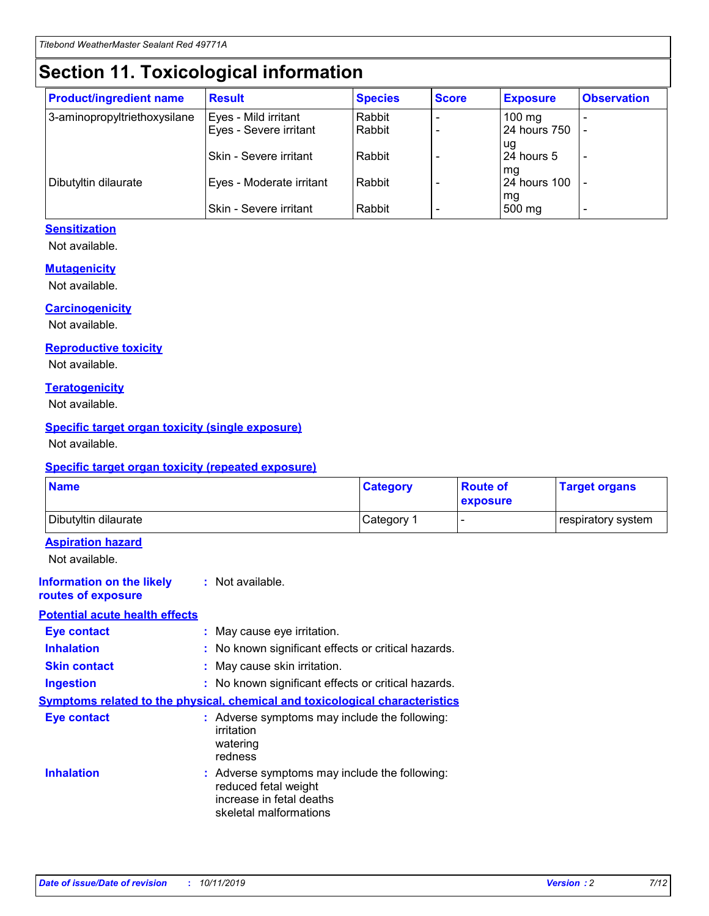## **Section 11. Toxicological information**

| <b>Product/ingredient name</b> | <b>Result</b>            | <b>Species</b> | <b>Score</b> | <b>Exposure</b>           | <b>Observation</b> |
|--------------------------------|--------------------------|----------------|--------------|---------------------------|--------------------|
| 3-aminopropyltriethoxysilane   | Eyes - Mild irritant     | Rabbit         |              | $100$ mg                  |                    |
|                                | Eyes - Severe irritant   | Rabbit         |              | 24 hours 750              |                    |
|                                |                          |                |              | ug                        |                    |
|                                | Skin - Severe irritant   | Rabbit         |              | 24 hours 5                | -                  |
| Dibutyltin dilaurate           | Eyes - Moderate irritant | Rabbit         |              | mq<br><b>24 hours 100</b> |                    |
|                                |                          |                |              | mg                        |                    |
|                                | Skin - Severe irritant   | Rabbit         |              | 500 mg                    |                    |

### **Sensitization**

Not available.

#### **Mutagenicity**

Not available.

#### **Carcinogenicity**

Not available.

#### **Reproductive toxicity**

Not available.

#### **Teratogenicity**

Not available.

#### **Specific target organ toxicity (single exposure)**

Not available.

#### **Specific target organ toxicity (repeated exposure)**

| <b>Name</b>                                                                  |                                                                                                                             | <b>Category</b> | <b>Route of</b><br>exposure  | <b>Target organs</b> |
|------------------------------------------------------------------------------|-----------------------------------------------------------------------------------------------------------------------------|-----------------|------------------------------|----------------------|
| Dibutyltin dilaurate                                                         |                                                                                                                             | Category 1      | $\qquad \qquad \blacksquare$ | respiratory system   |
| <b>Aspiration hazard</b><br>Not available.                                   |                                                                                                                             |                 |                              |                      |
| <b>Information on the likely</b><br>routes of exposure                       | : Not available.                                                                                                            |                 |                              |                      |
| <b>Potential acute health effects</b>                                        |                                                                                                                             |                 |                              |                      |
| <b>Eye contact</b>                                                           | : May cause eye irritation.                                                                                                 |                 |                              |                      |
| <b>Inhalation</b>                                                            | : No known significant effects or critical hazards.                                                                         |                 |                              |                      |
| <b>Skin contact</b>                                                          | : May cause skin irritation.                                                                                                |                 |                              |                      |
| <b>Ingestion</b>                                                             | : No known significant effects or critical hazards.                                                                         |                 |                              |                      |
| Symptoms related to the physical, chemical and toxicological characteristics |                                                                                                                             |                 |                              |                      |
| <b>Eye contact</b>                                                           | : Adverse symptoms may include the following:<br>irritation<br>watering<br>redness                                          |                 |                              |                      |
| <b>Inhalation</b>                                                            | : Adverse symptoms may include the following:<br>reduced fetal weight<br>increase in fetal deaths<br>skeletal malformations |                 |                              |                      |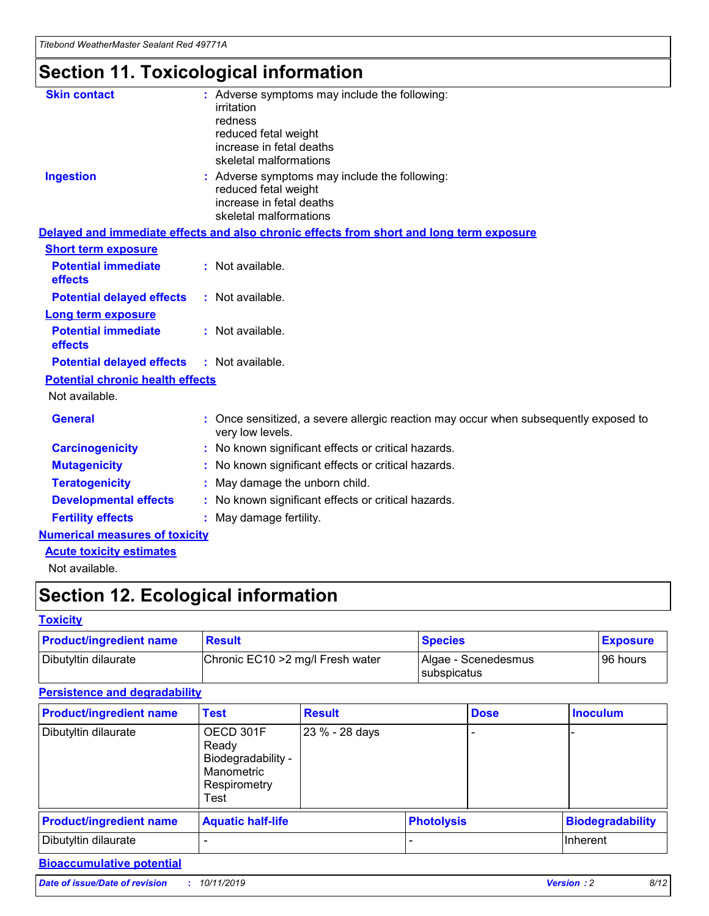## **Section 11. Toxicological information**

| <b>Skin contact</b>                     | : Adverse symptoms may include the following:<br>irritation<br>redness<br>reduced fetal weight<br>increase in fetal deaths<br>skeletal malformations |
|-----------------------------------------|------------------------------------------------------------------------------------------------------------------------------------------------------|
| <b>Ingestion</b>                        | : Adverse symptoms may include the following:<br>reduced fetal weight<br>increase in fetal deaths<br>skeletal malformations                          |
|                                         | Delayed and immediate effects and also chronic effects from short and long term exposure                                                             |
| <b>Short term exposure</b>              |                                                                                                                                                      |
| <b>Potential immediate</b><br>effects   | : Not available.                                                                                                                                     |
| <b>Potential delayed effects</b>        | : Not available.                                                                                                                                     |
| <b>Long term exposure</b>               |                                                                                                                                                      |
| <b>Potential immediate</b><br>effects   | : Not available.                                                                                                                                     |
| <b>Potential delayed effects</b>        | : Not available.                                                                                                                                     |
| <b>Potential chronic health effects</b> |                                                                                                                                                      |
| Not available.                          |                                                                                                                                                      |
| <b>General</b>                          | : Once sensitized, a severe allergic reaction may occur when subsequently exposed to<br>very low levels.                                             |
| <b>Carcinogenicity</b>                  | : No known significant effects or critical hazards.                                                                                                  |
| <b>Mutagenicity</b>                     | No known significant effects or critical hazards.                                                                                                    |
| <b>Teratogenicity</b>                   | May damage the unborn child.                                                                                                                         |
| <b>Developmental effects</b>            | No known significant effects or critical hazards.                                                                                                    |
| <b>Fertility effects</b>                | : May damage fertility.                                                                                                                              |
| <b>Numerical measures of toxicity</b>   |                                                                                                                                                      |
| <b>Acute toxicity estimates</b>         |                                                                                                                                                      |
|                                         |                                                                                                                                                      |

Not available.

## **Section 12. Ecological information**

#### **Toxicity**

| <b>Product/ingredient name</b> | <b>Result</b>                     | <b>Species</b>                       | <b>Exposure</b> |
|--------------------------------|-----------------------------------|--------------------------------------|-----------------|
| Dibutyltin dilaurate           | Chronic EC10 > 2 mg/l Fresh water | Algae - Scenedesmus<br>I subspicatus | l 96 hours i    |

### **Persistence and degradability**

| <b>Product/ingredient name</b> | <b>Test</b>                                                                    | <b>Result</b>  |  | <b>Dose</b>       | <b>Inoculum</b>         |
|--------------------------------|--------------------------------------------------------------------------------|----------------|--|-------------------|-------------------------|
| Dibutyltin dilaurate           | OECD 301F<br>Ready<br>Biodegradability -<br>Manometric<br>Respirometry<br>Test | 23 % - 28 days |  |                   |                         |
| <b>Product/ingredient name</b> | <b>Aquatic half-life</b>                                                       |                |  | <b>Photolysis</b> | <b>Biodegradability</b> |
| Dibutyltin dilaurate           |                                                                                |                |  |                   | Inherent                |

### **Bioaccumulative potential**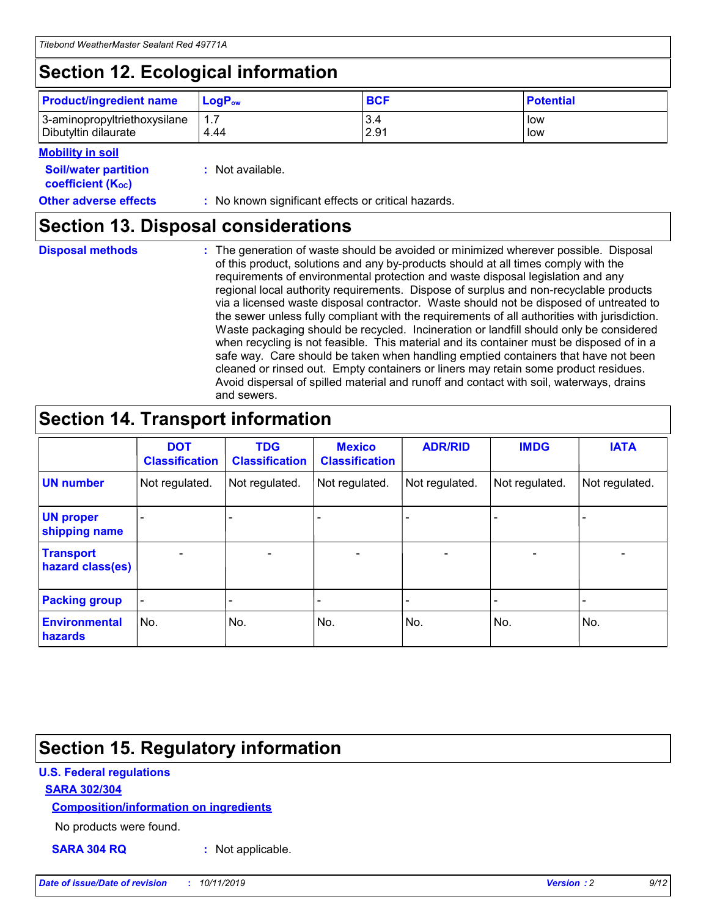## **Section 12. Ecological information**

| <b>Product/ingredient name</b> | $LoaPow$ | <b>BCF</b> | <b>Potential</b> |
|--------------------------------|----------|------------|------------------|
| 3-aminopropyltriethoxysilane   | 1.7      | 3.4        | low              |
| Dibutyltin dilaurate           | 4.44     | 2.91       | low              |

#### **Mobility in soil**

| <b>Soil/water partition</b><br>coefficient (K <sub>oc</sub> ) | : Not available.                                    |
|---------------------------------------------------------------|-----------------------------------------------------|
| <b>Other adverse effects</b>                                  | : No known significant effects or critical hazards. |

### **Section 13. Disposal considerations**

**Disposal methods :**

The generation of waste should be avoided or minimized wherever possible. Disposal of this product, solutions and any by-products should at all times comply with the requirements of environmental protection and waste disposal legislation and any regional local authority requirements. Dispose of surplus and non-recyclable products via a licensed waste disposal contractor. Waste should not be disposed of untreated to the sewer unless fully compliant with the requirements of all authorities with jurisdiction. Waste packaging should be recycled. Incineration or landfill should only be considered when recycling is not feasible. This material and its container must be disposed of in a safe way. Care should be taken when handling emptied containers that have not been cleaned or rinsed out. Empty containers or liners may retain some product residues. Avoid dispersal of spilled material and runoff and contact with soil, waterways, drains and sewers.

## **Section 14. Transport information**

|                                      | <b>DOT</b><br><b>Classification</b> | <b>TDG</b><br><b>Classification</b> | <b>Mexico</b><br><b>Classification</b> | <b>ADR/RID</b>           | <b>IMDG</b>              | <b>IATA</b>              |
|--------------------------------------|-------------------------------------|-------------------------------------|----------------------------------------|--------------------------|--------------------------|--------------------------|
| <b>UN number</b>                     | Not regulated.                      | Not regulated.                      | Not regulated.                         | Not regulated.           | Not regulated.           | Not regulated.           |
| <b>UN proper</b><br>shipping name    | $\qquad \qquad \blacksquare$        |                                     |                                        |                          |                          |                          |
| <b>Transport</b><br>hazard class(es) | $\blacksquare$                      | $\blacksquare$                      | $\blacksquare$                         | $\overline{\phantom{a}}$ | $\blacksquare$           | $\blacksquare$           |
| <b>Packing group</b>                 | $\overline{\phantom{a}}$            | $\overline{\phantom{0}}$            | $\qquad \qquad \blacksquare$           | -                        | $\overline{\phantom{0}}$ | $\overline{\phantom{a}}$ |
| <b>Environmental</b><br>hazards      | No.                                 | No.                                 | No.                                    | No.                      | No.                      | No.                      |

## **Section 15. Regulatory information**

#### **U.S. Federal regulations**

#### **SARA 302/304**

#### **Composition/information on ingredients**

No products were found.

**SARA 304 RQ :** Not applicable.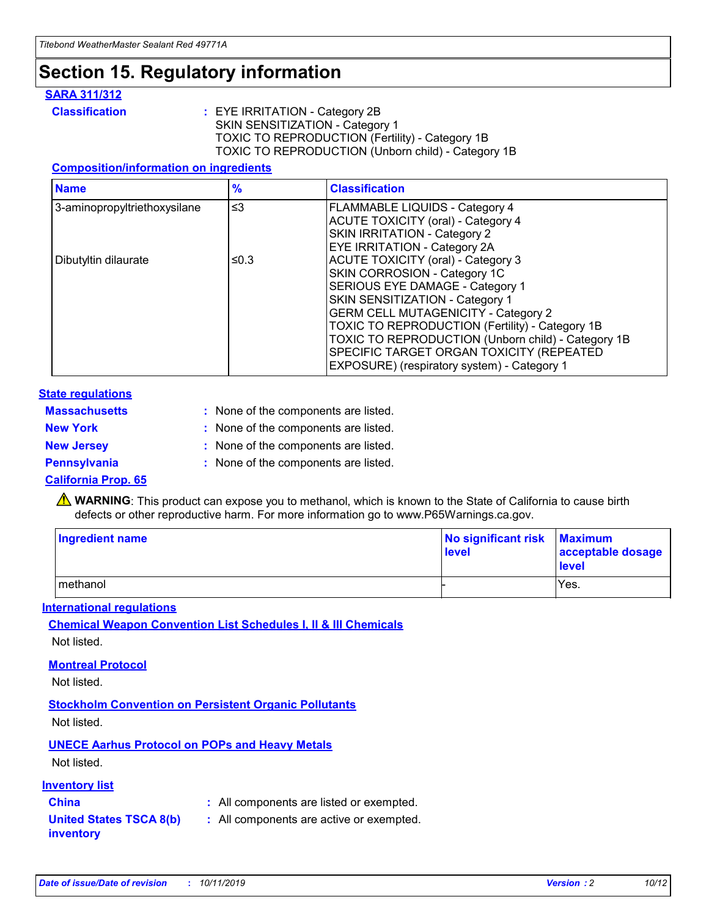## **Section 15. Regulatory information**

#### **SARA 311/312**

**Classification :** EYE IRRITATION - Category 2B SKIN SENSITIZATION - Category 1 TOXIC TO REPRODUCTION (Fertility) - Category 1B TOXIC TO REPRODUCTION (Unborn child) - Category 1B

#### **Composition/information on ingredients**

| <b>Name</b>                  | $\frac{9}{6}$ | <b>Classification</b>                                                                                            |
|------------------------------|---------------|------------------------------------------------------------------------------------------------------------------|
| 3-aminopropyltriethoxysilane | $\leq$ 3      | <b>FLAMMABLE LIQUIDS - Category 4</b><br><b>ACUTE TOXICITY (oral) - Category 4</b>                               |
|                              |               | SKIN IRRITATION - Category 2<br>EYE IRRITATION - Category 2A                                                     |
| Dibutyltin dilaurate         | ≤0.3          | ACUTE TOXICITY (oral) - Category 3<br>SKIN CORROSION - Category 1C                                               |
|                              |               | SERIOUS EYE DAMAGE - Category 1<br>SKIN SENSITIZATION - Category 1<br><b>GERM CELL MUTAGENICITY - Category 2</b> |
|                              |               | TOXIC TO REPRODUCTION (Fertility) - Category 1B<br>TOXIC TO REPRODUCTION (Unborn child) - Category 1B            |
|                              |               | SPECIFIC TARGET ORGAN TOXICITY (REPEATED<br>EXPOSURE) (respiratory system) - Category 1                          |

#### **State regulations**

| <b>Massachusetts</b> | : None of the components are listed. |
|----------------------|--------------------------------------|
| <b>New York</b>      | : None of the components are listed. |
| <b>New Jersey</b>    | : None of the components are listed. |
| <b>Pennsylvania</b>  | : None of the components are listed. |

#### **California Prop. 65**

**A** WARNING: This product can expose you to methanol, which is known to the State of California to cause birth defects or other reproductive harm. For more information go to www.P65Warnings.ca.gov.

| <b>Ingredient name</b> | No significant risk Maximum<br>level | acceptable dosage<br>level |
|------------------------|--------------------------------------|----------------------------|
| methanol               |                                      | Yes.                       |

#### **International regulations**

**Chemical Weapon Convention List Schedules I, II & III Chemicals** Not listed.

#### **Montreal Protocol**

Not listed.

**Stockholm Convention on Persistent Organic Pollutants**

Not listed.

### **UNECE Aarhus Protocol on POPs and Heavy Metals**

Not listed.

#### **Inventory list**

### **China :** All components are listed or exempted.

**United States TSCA 8(b) inventory :** All components are active or exempted.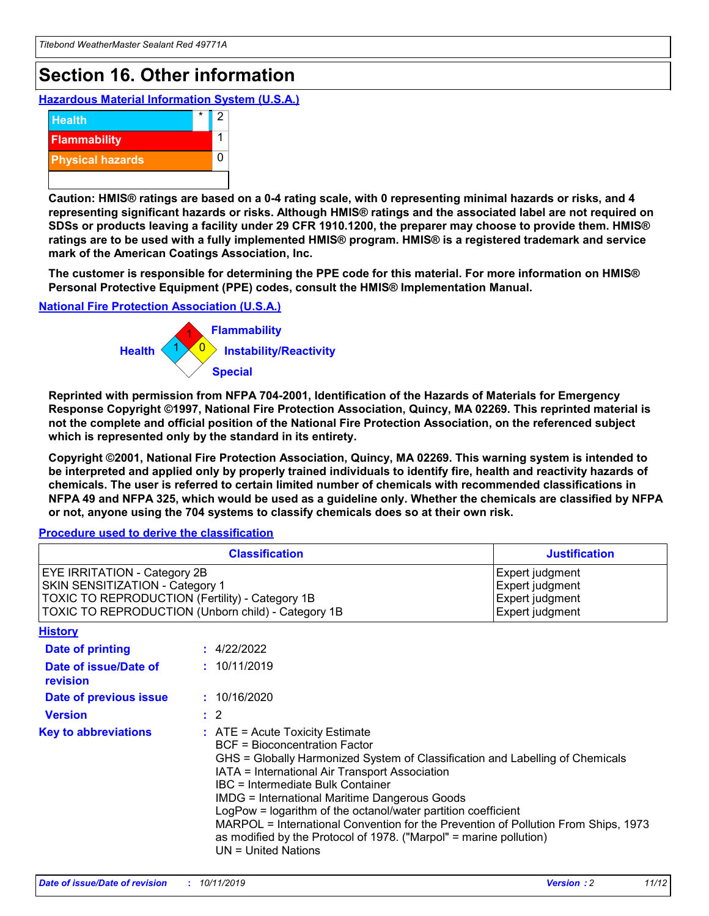## **Section 16. Other information**

**Hazardous Material Information System (U.S.A.)**



**Caution: HMIS® ratings are based on a 0-4 rating scale, with 0 representing minimal hazards or risks, and 4 representing significant hazards or risks. Although HMIS® ratings and the associated label are not required on SDSs or products leaving a facility under 29 CFR 1910.1200, the preparer may choose to provide them. HMIS® ratings are to be used with a fully implemented HMIS® program. HMIS® is a registered trademark and service mark of the American Coatings Association, Inc.**

**The customer is responsible for determining the PPE code for this material. For more information on HMIS® Personal Protective Equipment (PPE) codes, consult the HMIS® Implementation Manual.**

#### **National Fire Protection Association (U.S.A.)**



**Reprinted with permission from NFPA 704-2001, Identification of the Hazards of Materials for Emergency Response Copyright ©1997, National Fire Protection Association, Quincy, MA 02269. This reprinted material is not the complete and official position of the National Fire Protection Association, on the referenced subject which is represented only by the standard in its entirety.**

**Copyright ©2001, National Fire Protection Association, Quincy, MA 02269. This warning system is intended to be interpreted and applied only by properly trained individuals to identify fire, health and reactivity hazards of chemicals. The user is referred to certain limited number of chemicals with recommended classifications in NFPA 49 and NFPA 325, which would be used as a guideline only. Whether the chemicals are classified by NFPA or not, anyone using the 704 systems to classify chemicals does so at their own risk.**

#### **Procedure used to derive the classification**

| <b>Classification</b>                                                                                                                                                    |                                                                                                                                                                                                                                                                                                                                                                                                                                                                                                                                                               | <b>Justification</b>                                                     |
|--------------------------------------------------------------------------------------------------------------------------------------------------------------------------|---------------------------------------------------------------------------------------------------------------------------------------------------------------------------------------------------------------------------------------------------------------------------------------------------------------------------------------------------------------------------------------------------------------------------------------------------------------------------------------------------------------------------------------------------------------|--------------------------------------------------------------------------|
| EYE IRRITATION - Category 2B<br>SKIN SENSITIZATION - Category 1<br>TOXIC TO REPRODUCTION (Fertility) - Category 1B<br>TOXIC TO REPRODUCTION (Unborn child) - Category 1B |                                                                                                                                                                                                                                                                                                                                                                                                                                                                                                                                                               | Expert judgment<br>Expert judgment<br>Expert judgment<br>Expert judgment |
| <b>History</b>                                                                                                                                                           |                                                                                                                                                                                                                                                                                                                                                                                                                                                                                                                                                               |                                                                          |
| <b>Date of printing</b>                                                                                                                                                  | : 4/22/2022                                                                                                                                                                                                                                                                                                                                                                                                                                                                                                                                                   |                                                                          |
| Date of issue/Date of<br>revision                                                                                                                                        | : 10/11/2019                                                                                                                                                                                                                                                                                                                                                                                                                                                                                                                                                  |                                                                          |
| Date of previous issue                                                                                                                                                   | : 10/16/2020                                                                                                                                                                                                                                                                                                                                                                                                                                                                                                                                                  |                                                                          |
| <b>Version</b>                                                                                                                                                           | $\therefore$ 2                                                                                                                                                                                                                                                                                                                                                                                                                                                                                                                                                |                                                                          |
| <b>Key to abbreviations</b>                                                                                                                                              | $:$ ATE = Acute Toxicity Estimate<br><b>BCF</b> = Bioconcentration Factor<br>GHS = Globally Harmonized System of Classification and Labelling of Chemicals<br>IATA = International Air Transport Association<br>IBC = Intermediate Bulk Container<br><b>IMDG = International Maritime Dangerous Goods</b><br>LogPow = logarithm of the octanol/water partition coefficient<br>MARPOL = International Convention for the Prevention of Pollution From Ships, 1973<br>as modified by the Protocol of 1978. ("Marpol" = marine pollution)<br>UN = United Nations |                                                                          |